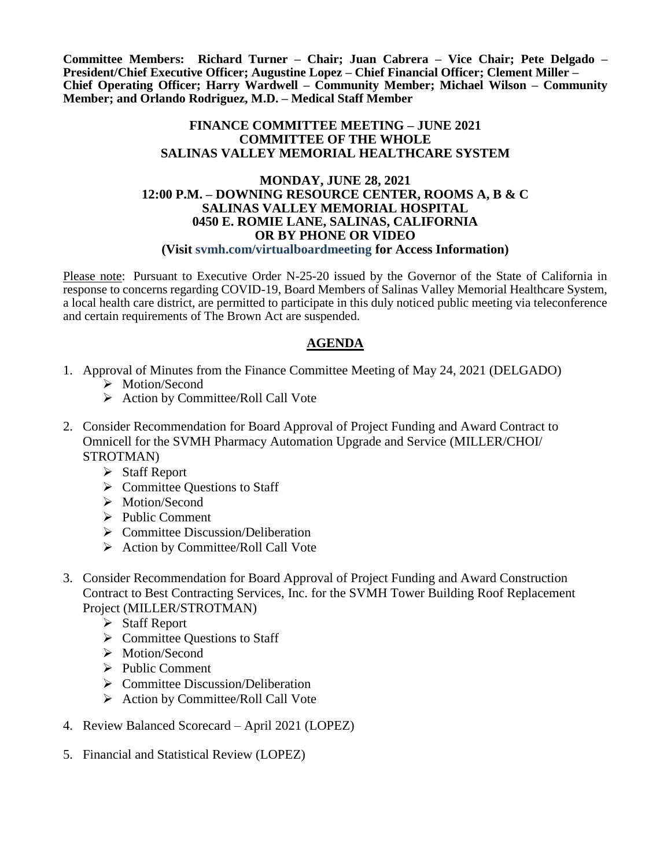**Committee Members: Richard Turner – Chair; Juan Cabrera – Vice Chair; Pete Delgado – President/Chief Executive Officer; Augustine Lopez – Chief Financial Officer; Clement Miller – Chief Operating Officer; Harry Wardwell – Community Member; Michael Wilson – Community Member; and Orlando Rodriguez, M.D. – Medical Staff Member**

### **FINANCE COMMITTEE MEETING – JUNE 2021 COMMITTEE OF THE WHOLE SALINAS VALLEY MEMORIAL HEALTHCARE SYSTEM**

### **MONDAY, JUNE 28, 2021 12:00 P.M. – DOWNING RESOURCE CENTER, ROOMS A, B & C SALINAS VALLEY MEMORIAL HOSPITAL 0450 E. ROMIE LANE, SALINAS, CALIFORNIA OR BY PHONE OR VIDEO (Visit svmh.com/virtualboardmeeting for Access Information)**

Please note: Pursuant to Executive Order N-25-20 issued by the Governor of the State of California in response to concerns regarding COVID-19, Board Members of Salinas Valley Memorial Healthcare System, a local health care district, are permitted to participate in this duly noticed public meeting via teleconference and certain requirements of The Brown Act are suspended.

## **AGENDA**

- 1. Approval of Minutes from the Finance Committee Meeting of May 24, 2021 (DELGADO)
	- > Motion/Second
	- $\triangleright$  Action by Committee/Roll Call Vote
- 2. Consider Recommendation for Board Approval of Project Funding and Award Contract to Omnicell for the SVMH Pharmacy Automation Upgrade and Service (MILLER/CHOI/ STROTMAN)
	- $\triangleright$  Staff Report
	- $\triangleright$  Committee Questions to Staff
	- > Motion/Second
	- $\triangleright$  Public Comment
	- $\triangleright$  Committee Discussion/Deliberation
	- $\triangleright$  Action by Committee/Roll Call Vote
- 3. Consider Recommendation for Board Approval of Project Funding and Award Construction Contract to Best Contracting Services, Inc. for the SVMH Tower Building Roof Replacement Project (MILLER/STROTMAN)
	- Staff Report
	- $\triangleright$  Committee Questions to Staff
	- > Motion/Second
	- $\triangleright$  Public Comment
	- $\triangleright$  Committee Discussion/Deliberation
	- $\triangleright$  Action by Committee/Roll Call Vote
- 4. Review Balanced Scorecard April 2021 (LOPEZ)
- 5. Financial and Statistical Review (LOPEZ)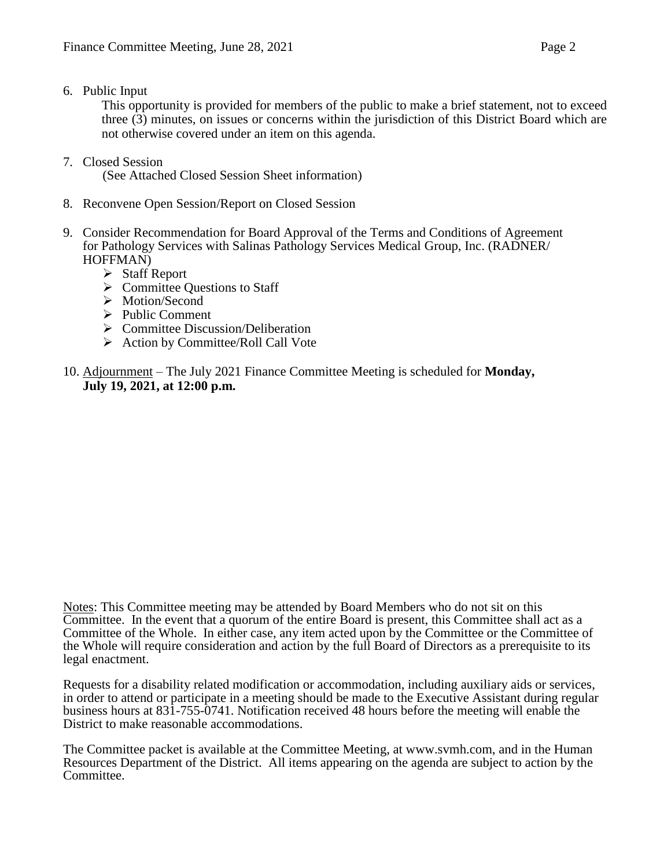6. Public Input

This opportunity is provided for members of the public to make a brief statement, not to exceed three (3) minutes, on issues or concerns within the jurisdiction of this District Board which are not otherwise covered under an item on this agenda.

7. Closed Session

(See Attached Closed Session Sheet information)

- 8. Reconvene Open Session/Report on Closed Session
- 9. Consider Recommendation for Board Approval of the Terms and Conditions of Agreement for Pathology Services with Salinas Pathology Services Medical Group, Inc. (RADNER/ HOFFMAN)
	- Staff Report
	- $\triangleright$  Committee Questions to Staff
	- > Motion/Second
	- $\triangleright$  Public Comment
	- $\triangleright$  Committee Discussion/Deliberation
	- $\triangleright$  Action by Committee/Roll Call Vote
- 10. Adjournment The July 2021 Finance Committee Meeting is scheduled for **Monday, July 19, 2021, at 12:00 p.m.**

Notes: This Committee meeting may be attended by Board Members who do not sit on this Committee. In the event that a quorum of the entire Board is present, this Committee shall act as a Committee of the Whole. In either case, any item acted upon by the Committee or the Committee of the Whole will require consideration and action by the full Board of Directors as a prerequisite to its legal enactment.

Requests for a disability related modification or accommodation, including auxiliary aids or services, in order to attend or participate in a meeting should be made to the Executive Assistant during regular business hours at 831-755-0741. Notification received 48 hours before the meeting will enable the District to make reasonable accommodations.

The Committee packet is available at the Committee Meeting, at www.svmh.com, and in the Human Resources Department of the District. All items appearing on the agenda are subject to action by the Committee.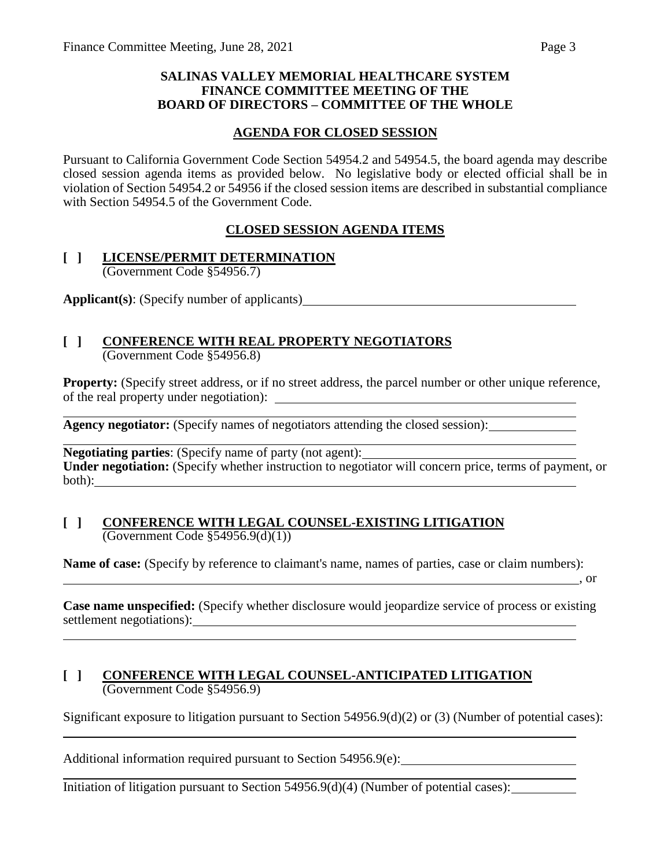### **SALINAS VALLEY MEMORIAL HEALTHCARE SYSTEM FINANCE COMMITTEE MEETING OF THE BOARD OF DIRECTORS – COMMITTEE OF THE WHOLE**

## **AGENDA FOR CLOSED SESSION**

Pursuant to California Government Code Section 54954.2 and 54954.5, the board agenda may describe closed session agenda items as provided below. No legislative body or elected official shall be in violation of Section 54954.2 or 54956 if the closed session items are described in substantial compliance with Section 54954.5 of the Government Code.

## **CLOSED SESSION AGENDA ITEMS**

#### **[ ] LICENSE/PERMIT DETERMINATION** (Government Code §54956.7)

**Applicant(s)**: (Specify number of applicants)

### **[ ] CONFERENCE WITH REAL PROPERTY NEGOTIATORS** (Government Code §54956.8)

**Property:** (Specify street address, or if no street address, the parcel number or other unique reference, of the real property under negotiation):

**Agency negotiator:** (Specify names of negotiators attending the closed session):

**Negotiating parties**: (Specify name of party (not agent): **Under negotiation:** (Specify whether instruction to negotiator will concern price, terms of payment, or both):

### **[ ] CONFERENCE WITH LEGAL COUNSEL-EXISTING LITIGATION** (Government Code §54956.9(d)(1))

**Name of case:** (Specify by reference to claimant's name, names of parties, case or claim numbers):

, or

**Case name unspecified:** (Specify whether disclosure would jeopardize service of process or existing settlement negotiations):<br>
<u>example</u> and the settlement negotiations):

## **[ ] CONFERENCE WITH LEGAL COUNSEL-ANTICIPATED LITIGATION** (Government Code §54956.9)

Significant exposure to litigation pursuant to Section 54956.9(d)(2) or (3) (Number of potential cases):

Additional information required pursuant to Section 54956.9(e):

Initiation of litigation pursuant to Section 54956.9(d)(4) (Number of potential cases):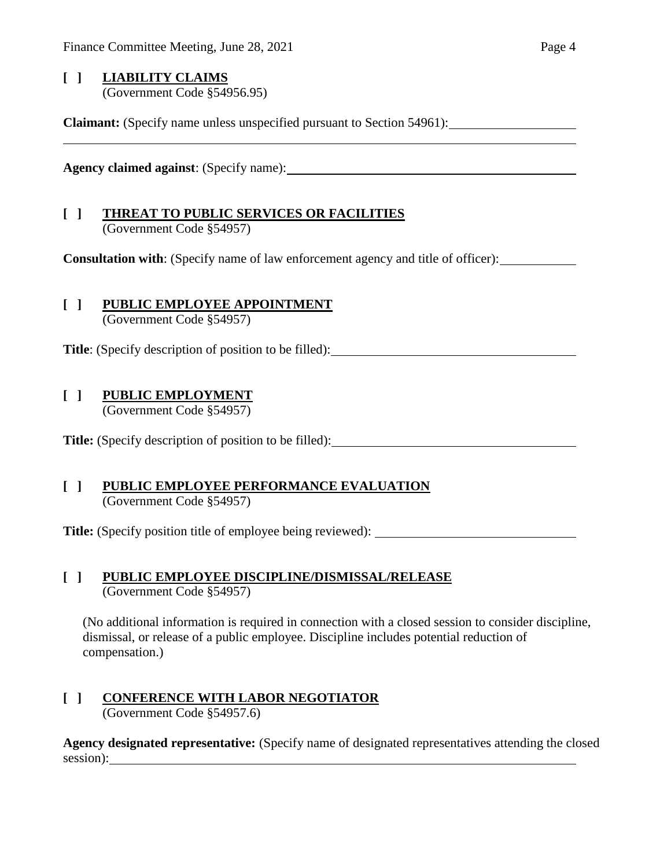## **[ ] LIABILITY CLAIMS** (Government Code §54956.95)

**Claimant:** (Specify name unless unspecified pursuant to Section 54961):

**Agency claimed against**: (Specify name):

# **[ ] THREAT TO PUBLIC SERVICES OR FACILITIES**

(Government Code §54957)

**Consultation with**: (Specify name of law enforcement agency and title of officer):

# **[ ] PUBLIC EMPLOYEE APPOINTMENT**

(Government Code §54957)

**Title**: (Specify description of position to be filled):

# **[ ] PUBLIC EMPLOYMENT**

(Government Code §54957)

**Title:** (Specify description of position to be filled):

### **[ ] PUBLIC EMPLOYEE PERFORMANCE EVALUATION** (Government Code §54957)

**Title:** (Specify position title of employee being reviewed):

## **[ ] PUBLIC EMPLOYEE DISCIPLINE/DISMISSAL/RELEASE** (Government Code §54957)

(No additional information is required in connection with a closed session to consider discipline, dismissal, or release of a public employee. Discipline includes potential reduction of compensation.)

### **[ ] CONFERENCE WITH LABOR NEGOTIATOR** (Government Code §54957.6)

**Agency designated representative:** (Specify name of designated representatives attending the closed session):